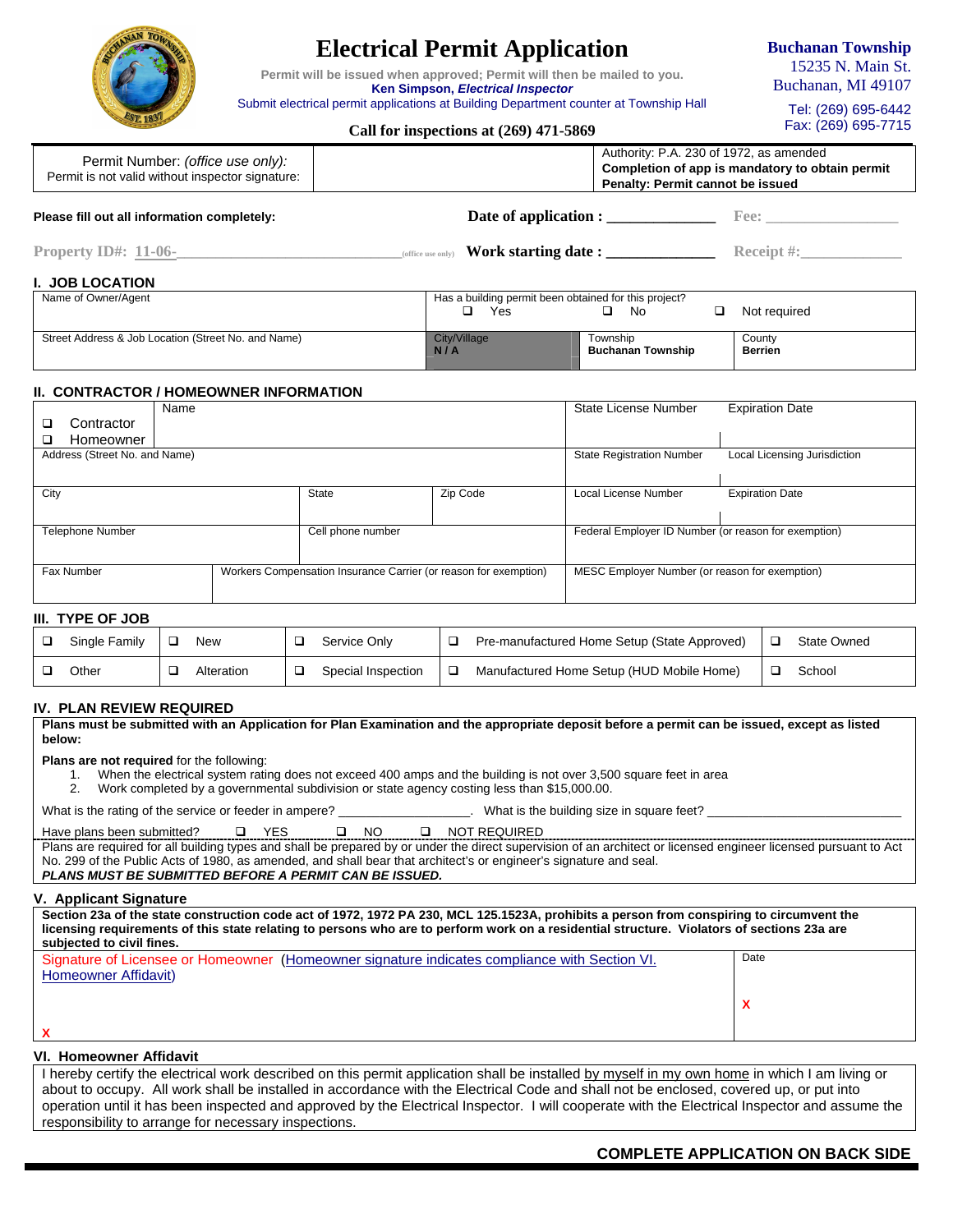

# **Electrical Permit Application**

**Permit will be issued when approved; Permit will then be mailed to you. Ken Simpson,** *Electrical Inspector* 

Submit electrical permit applications at Building Department counter at Township Hall

**Buchanan Township** 15235 N. Main St. Buchanan, MI 49107

> Tel: (269) 695-6442 Fax: (269) 695-7715

# **Call for inspections at (269) 471-5869**

| Permit Number: (office use only):<br>Permit is not valid without inspector signature: | Penalty: Permit cannot be issued         | Authority: P.A. 230 of 1972, as amended<br>Completion of app is mandatory to obtain permit |
|---------------------------------------------------------------------------------------|------------------------------------------|--------------------------------------------------------------------------------------------|
| Please fill out all information completely:                                           | Date of application :                    | Fee:                                                                                       |
| Property $ID#: 11-06-$                                                                | Work starting date:<br>(office use only) | <b>Receipt</b> #:                                                                          |

# **I. JOB LOCATION**

| Name of Owner/Agent                                 | Has a building permit been obtained for this project? |                   |              |  |
|-----------------------------------------------------|-------------------------------------------------------|-------------------|--------------|--|
|                                                     | Yes                                                   | No                | Not reauired |  |
|                                                     |                                                       |                   |              |  |
| Street Address & Job Location (Street No. and Name) | City/Village                                          | Township          | County       |  |
|                                                     | N/A                                                   | Buchanan Township | Berrien      |  |
|                                                     |                                                       |                   |              |  |

# **II. CONTRACTOR / HOMEOWNER INFORMATION**

|                                              | Name |                                                                  |          | <b>State License Number</b>                          | <b>Expiration Date</b>       |
|----------------------------------------------|------|------------------------------------------------------------------|----------|------------------------------------------------------|------------------------------|
| Contractor                                   |      |                                                                  |          |                                                      |                              |
| Homeowner                                    |      |                                                                  |          |                                                      |                              |
| Address (Street No. and Name)                |      |                                                                  |          | <b>State Registration Number</b>                     | Local Licensing Jurisdiction |
|                                              |      |                                                                  |          |                                                      |                              |
| City                                         |      | State                                                            | Zip Code | Local License Number                                 | <b>Expiration Date</b>       |
|                                              |      |                                                                  |          |                                                      |                              |
| <b>Telephone Number</b><br>Cell phone number |      |                                                                  |          | Federal Employer ID Number (or reason for exemption) |                              |
|                                              |      |                                                                  |          |                                                      |                              |
| Fax Number                                   |      | Workers Compensation Insurance Carrier (or reason for exemption) |          | MESC Employer Number (or reason for exemption)       |                              |
|                                              |      |                                                                  |          |                                                      |                              |
|                                              |      |                                                                  |          |                                                      |                              |

# **III. TYPE OF JOB**

| Single Family | New        | Service Only       | Pre-manufactured Home Setup (State Approved) | State Owned |
|---------------|------------|--------------------|----------------------------------------------|-------------|
| Other         | Alteration | Special Inspection | Manufactured Home Setup (HUD Mobile Home)    | School      |

## **IV. PLAN REVIEW REQUIRED**

**Plans must be submitted with an Application for Plan Examination and the appropriate deposit before a permit can be issued, except as listed below:** 

**Plans are not required** for the following:

- 1. When the electrical system rating does not exceed 400 amps and the building is not over 3,500 square feet in area
- 2. Work completed by a governmental subdivision or state agency costing less than \$15,000.00.

What is the rating of the service or feeder in ampere? \_\_\_\_\_\_\_\_\_\_\_\_\_\_\_\_\_\_\_\_\_\_\_\_. What is the building size in square feet?

| Have plans been submitted? | D YES | □ NO | <b>Q NOT REQUIRED</b> |
|----------------------------|-------|------|-----------------------|
|                            |       |      |                       |

Plans are required for all building types and shall be prepared by or under the direct supervision of an architect or licensed engineer licensed pursuant to Act No. 299 of the Public Acts of 1980, as amended, and shall bear that architect's or engineer's signature and seal. *PLANS MUST BE SUBMITTED BEFORE A PERMIT CAN BE ISSUED.* 

#### **V. Applicant Signature**

**Section 23a of the state construction code act of 1972, 1972 PA 230, MCL 125.1523A, prohibits a person from conspiring to circumvent the licensing requirements of this state relating to persons who are to perform work on a residential structure. Violators of sections 23a are subjected to civil fines.**  Date

| Signature of Licensee or Homeowner (Homeowner signature indicates compliance with Section VI. | Date |
|-----------------------------------------------------------------------------------------------|------|
| Homeowner Affidavit)                                                                          |      |
|                                                                                               |      |
|                                                                                               |      |
|                                                                                               |      |
|                                                                                               |      |

# **VI. Homeowner Affidavit**

I hereby certify the electrical work described on this permit application shall be installed by myself in my own home in which I am living or about to occupy. All work shall be installed in accordance with the Electrical Code and shall not be enclosed, covered up, or put into operation until it has been inspected and approved by the Electrical Inspector. I will cooperate with the Electrical Inspector and assume the responsibility to arrange for necessary inspections.